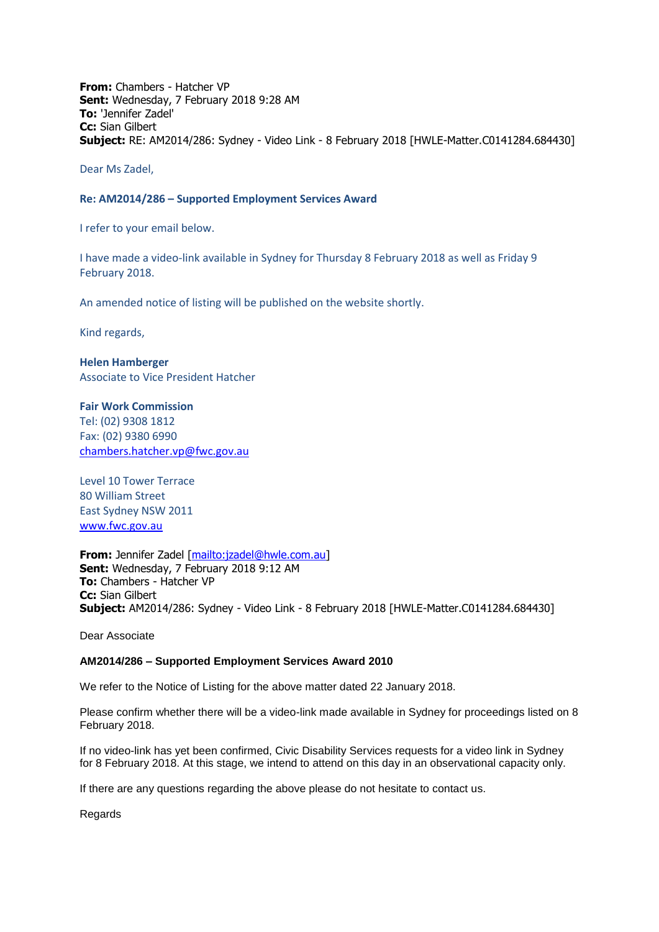**From:** Chambers - Hatcher VP **Sent:** Wednesday, 7 February 2018 9:28 AM **To:** 'Jennifer Zadel' **Cc:** Sian Gilbert **Subject:** RE: AM2014/286: Sydney - Video Link - 8 February 2018 [HWLE-Matter.C0141284.684430]

Dear Ms Zadel,

## **Re: AM2014/286 – Supported Employment Services Award**

I refer to your email below.

I have made a video-link available in Sydney for Thursday 8 February 2018 as well as Friday 9 February 2018.

An amended notice of listing will be published on the website shortly.

Kind regards,

**Helen Hamberger** Associate to Vice President Hatcher

**Fair Work Commission**  Tel: (02) 9308 1812 Fax: (02) 9380 6990 [chambers.hatcher.vp@fwc.gov.au](mailto:chambers.hatcher.vp@fwc.gov.au) 

Level 10 Tower Terrace 80 William Street East Sydney NSW 2011 [www.fwc.gov.au](http://www.fwc.gov.au/)

**From:** Jennifer Zadel [\[mailto:jzadel@hwle.com.au\]](mailto:jzadel@hwle.com.au) **Sent:** Wednesday, 7 February 2018 9:12 AM **To:** Chambers - Hatcher VP **Cc:** Sian Gilbert **Subject:** AM2014/286: Sydney - Video Link - 8 February 2018 [HWLE-Matter.C0141284.684430]

Dear Associate

## **AM2014/286 – Supported Employment Services Award 2010**

We refer to the Notice of Listing for the above matter dated 22 January 2018.

Please confirm whether there will be a video-link made available in Sydney for proceedings listed on 8 February 2018.

If no video-link has yet been confirmed, Civic Disability Services requests for a video link in Sydney for 8 February 2018. At this stage, we intend to attend on this day in an observational capacity only.

If there are any questions regarding the above please do not hesitate to contact us.

Regards